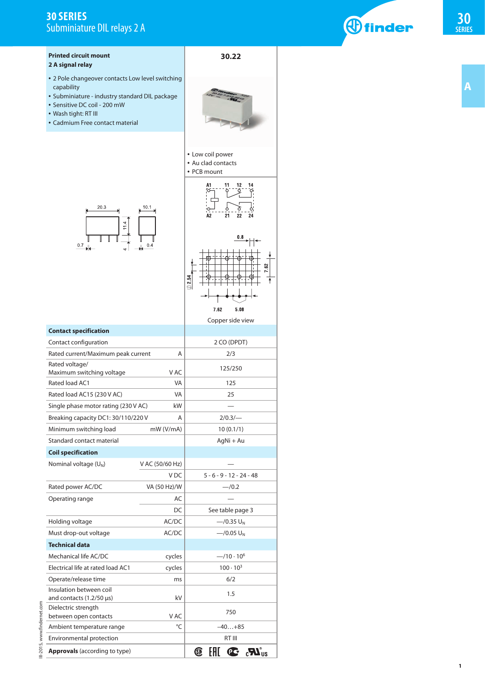#### **30 SERIES** Subminiature DIL relays 2 A



**A**



# **1**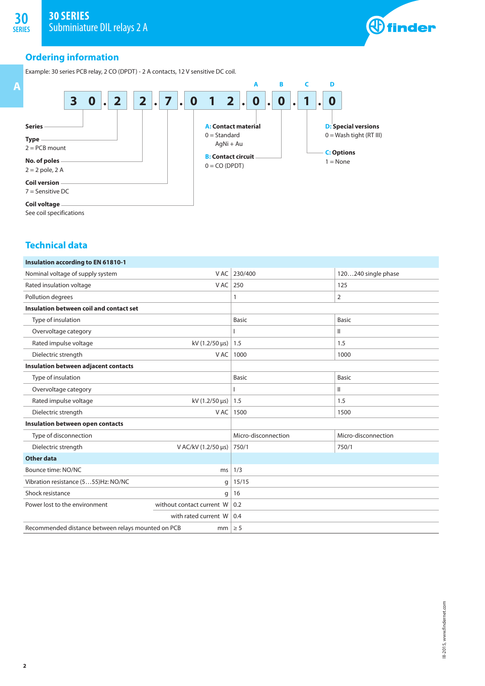

#### **Ordering information**

**SERIES** 

Example: 30 series PCB relay, 2 CO (DPDT) - 2 A contacts, 12 V sensitive DC coil.



#### **Technical data**

| <b>Insulation according to EN 61810-1</b>          |                           |                     |                     |
|----------------------------------------------------|---------------------------|---------------------|---------------------|
| Nominal voltage of supply system                   | V AC                      | 230/400             | 120240 single phase |
| Rated insulation voltage                           | VAC                       | 250                 | 125                 |
| Pollution degrees                                  |                           | 1                   | 2                   |
| Insulation between coil and contact set            |                           |                     |                     |
| Type of insulation                                 |                           | <b>Basic</b>        | <b>Basic</b>        |
| Overvoltage category                               |                           |                     | Ш                   |
| Rated impulse voltage                              | kV (1.2/50 $\mu$ s)   1.5 |                     | 1.5                 |
| Dielectric strength                                | V AC                      | 1000                | 1000                |
| Insulation between adjacent contacts               |                           |                     |                     |
| Type of insulation                                 |                           | <b>Basic</b>        | <b>Basic</b>        |
| Overvoltage category                               |                           |                     | Ш                   |
| Rated impulse voltage                              | kV $(1.2/50 \,\mu s)$     | 1.5                 | 1.5                 |
| Dielectric strength                                | V AC                      | 1500                | 1500                |
| Insulation between open contacts                   |                           |                     |                     |
| Type of disconnection                              |                           | Micro-disconnection | Micro-disconnection |
| Dielectric strength                                | V AC/kV (1.2/50 µs)       | 750/1               | 750/1               |
| <b>Other data</b>                                  |                           |                     |                     |
| Bounce time: NO/NC                                 | <sub>ms</sub>             | 1/3                 |                     |
| Vibration resistance (555) Hz: NO/NC               | g                         | 15/15               |                     |
| Shock resistance                                   | g                         | 16                  |                     |
| Power lost to the environment                      | without contact current W | 0.2                 |                     |
|                                                    | with rated current W      | 0.4                 |                     |
| Recommended distance between relays mounted on PCB | mm <sub>1</sub>           | $\geq$ 5            |                     |
|                                                    |                           |                     |                     |